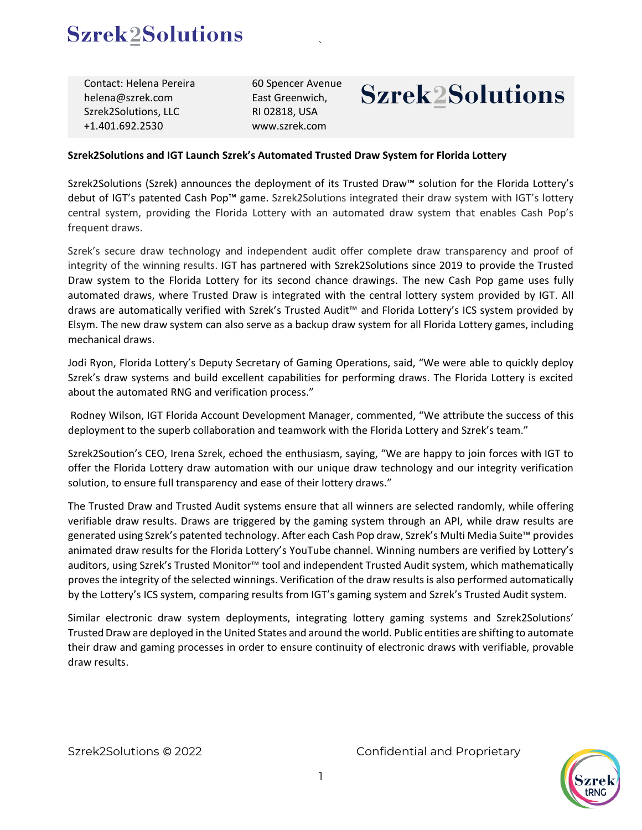## **Szrek2Solutions**

Contact: Helena Pereira helena@szrek.com Szrek2Solutions, LLC +1.401.692.2530

60 Spencer Avenue East Greenwich, RI 02818, USA www.szrek.com

# **Szrek2Solutions**

### **Szrek2Solutions and IGT Launch Szrek's Automated Trusted Draw System for Florida Lottery**

Szrek2Solutions (Szrek) announces the deployment of its Trusted Draw™ solution for the Florida Lottery's debut of IGT's patented Cash Pop™ game. Szrek2Solutions integrated their draw system with IGT's lottery central system, providing the Florida Lottery with an automated draw system that enables Cash Pop's frequent draws.

`

Szrek's secure draw technology and independent audit offer complete draw transparency and proof of integrity of the winning results. IGT has partnered with Szrek2Solutions since 2019 to provide the Trusted Draw system to the Florida Lottery for its second chance drawings. The new Cash Pop game uses fully automated draws, where Trusted Draw is integrated with the central lottery system provided by IGT. All draws are automatically verified with Szrek's Trusted Audit™ and Florida Lottery's ICS system provided by Elsym. The new draw system can also serve as a backup draw system for all Florida Lottery games, including mechanical draws.

Jodi Ryon, Florida Lottery's Deputy Secretary of Gaming Operations, said, "We were able to quickly deploy Szrek's draw systems and build excellent capabilities for performing draws. The Florida Lottery is excited about the automated RNG and verification process."

Rodney Wilson, IGT Florida Account Development Manager, commented, "We attribute the success of this deployment to the superb collaboration and teamwork with the Florida Lottery and Szrek's team."

Szrek2Soution's CEO, Irena Szrek, echoed the enthusiasm, saying, "We are happy to join forces with IGT to offer the Florida Lottery draw automation with our unique draw technology and our integrity verification solution, to ensure full transparency and ease of their lottery draws."

The Trusted Draw and Trusted Audit systems ensure that all winners are selected randomly, while offering verifiable draw results. Draws are triggered by the gaming system through an API, while draw results are generated using Szrek's patented technology. After each Cash Pop draw, Szrek's Multi Media Suite™ provides animated draw results for the Florida Lottery's YouTube channel. Winning numbers are verified by Lottery's auditors, using Szrek's Trusted Monitor™ tool and independent Trusted Audit system, which mathematically proves the integrity of the selected winnings. Verification of the draw results is also performed automatically by the Lottery's ICS system, comparing results from IGT's gaming system and Szrek's Trusted Audit system.

Similar electronic draw system deployments, integrating lottery gaming systems and Szrek2Solutions' Trusted Draw are deployed in the United States and around the world. Public entities are shifting to automate their draw and gaming processes in order to ensure continuity of electronic draws with verifiable, provable draw results.